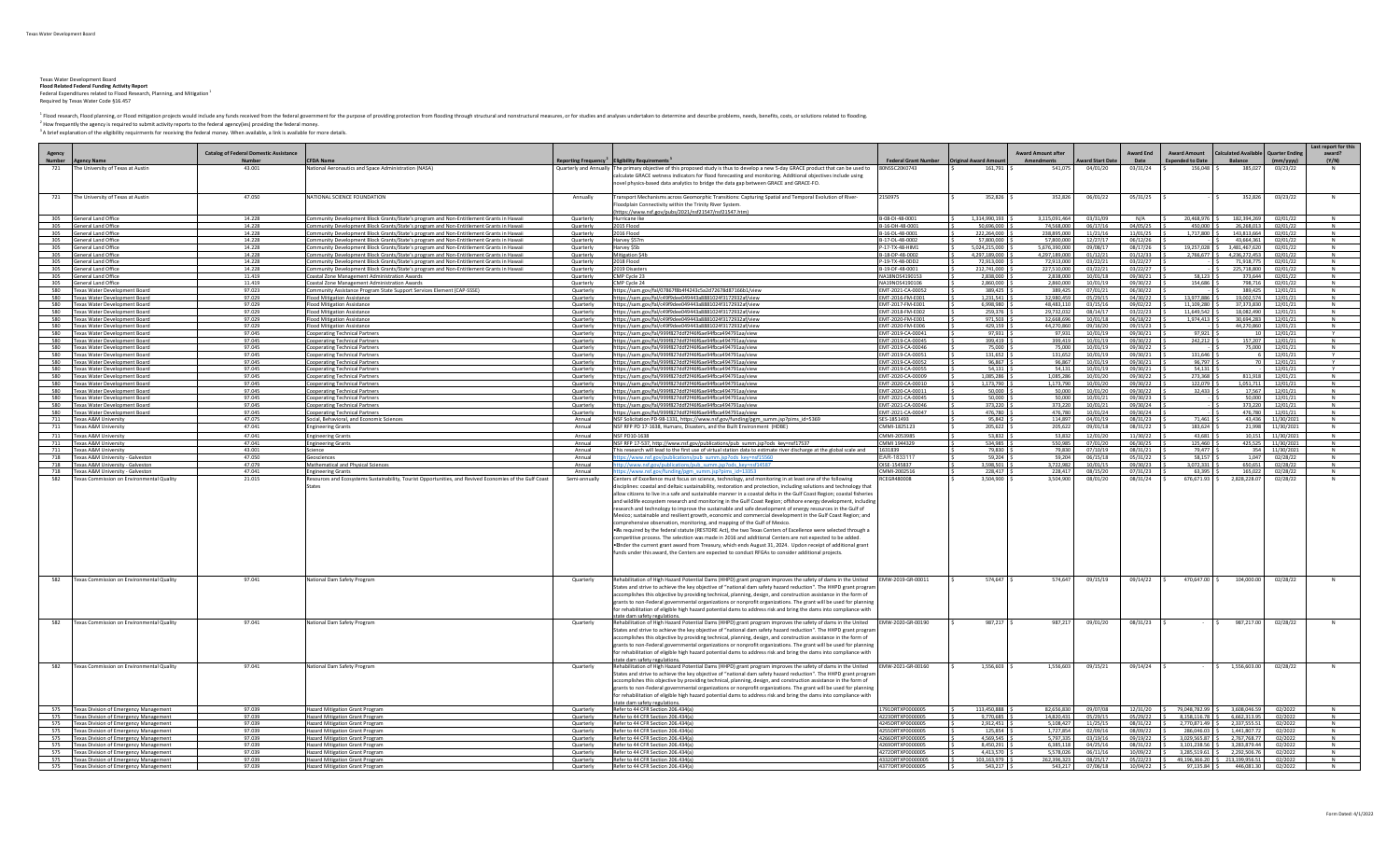Texas Water Development Board<br>**Flood Related Federal Funding Activity Report**<br>Federal Expenditures related to Flood Research, Planning, and Mitigation<sup>1</sup><br>Required by Texas Water Code §16.457

<sup>1</sup> Flood research, Flood planning, or Flood mitigation projects would include any funds received from the federal government for the purpose of providing protection from flooding through structural and nonstructural measu

<sup>2</sup> How frequently the agency is required to submit activity reports to the federal agency(ies) providing the federal money.<br><sup>3</sup> A brief explanation of the eligibility requirments for receiving the federal money. When avai

|                         |                                                                                         |                                                         |                                                                                                                                      |                         |                                                                                                                                                                                                                                                                                                                                                                                                                                                                                                                                                                                                                                                                                                                                                                                                                                                                                                                                                                                                                                                                                                                               |                                            |                      |                                         |                         |                           |                                                 |                                                  |                      | Last report for thi |
|-------------------------|-----------------------------------------------------------------------------------------|---------------------------------------------------------|--------------------------------------------------------------------------------------------------------------------------------------|-------------------------|-------------------------------------------------------------------------------------------------------------------------------------------------------------------------------------------------------------------------------------------------------------------------------------------------------------------------------------------------------------------------------------------------------------------------------------------------------------------------------------------------------------------------------------------------------------------------------------------------------------------------------------------------------------------------------------------------------------------------------------------------------------------------------------------------------------------------------------------------------------------------------------------------------------------------------------------------------------------------------------------------------------------------------------------------------------------------------------------------------------------------------|--------------------------------------------|----------------------|-----------------------------------------|-------------------------|---------------------------|-------------------------------------------------|--------------------------------------------------|----------------------|---------------------|
| Agency<br><b>Number</b> | <b>Agency Name</b>                                                                      | <b>Catalog of Federal Domestic Assistance</b><br>Number | <b>CFDA Name</b>                                                                                                                     |                         | Reporting Frequency Liligibility Requirements                                                                                                                                                                                                                                                                                                                                                                                                                                                                                                                                                                                                                                                                                                                                                                                                                                                                                                                                                                                                                                                                                 | Federal Grant Number   Original Award Amou |                      | <b>Award Amount after</b><br>Amendments | <b>Award Start Date</b> | <b>Award End</b><br>Date  | <b>Award Amount</b><br><b>Expended to Date</b>  | Calculated Available   Quarter Ending<br>Balance | $\vert$ (mm/yyyy)    | award?<br>(Y/N)     |
| 721                     | The University of Texas at Austin                                                       | 43.001                                                  | lational Aeronautics and Space Administration (NASA)                                                                                 |                         | Quarterly and Annually The primary objective of this proposed study is thus to develop a new 5-day GRACE product that can be used to 80NSSC20K0743<br>calculate GRACE wetness indicators for flood forecasting and monitoring. Additional objectives include using<br>novel physics-based data analytics to bridge the data gap between GRACE and GRACE-FO.                                                                                                                                                                                                                                                                                                                                                                                                                                                                                                                                                                                                                                                                                                                                                                   |                                            | 161,791              | 541,075                                 | 04/01/20                | 03/31/24                  | 156,048 \$<br><b>IS</b>                         | 385.027                                          | 03/23/22             |                     |
| 721                     | The University of Texas at Austin                                                       | 47.050                                                  | NATIONAL SCIENCE EQUINDATION                                                                                                         | Annually                | Transport Mechanisms across Geomorphic Transitions: Capturing Spatial and Temporal Evolution of River-<br>loodplain Connectivity within the Trinity River System<br>https://www.nsf.gov/pubs/2021/nsf21547/nsf21547.htm)                                                                                                                                                                                                                                                                                                                                                                                                                                                                                                                                                                                                                                                                                                                                                                                                                                                                                                      | 2150975                                    | 352,826              | 352.826                                 | 06/01/22                | $05/31/25$ \$             |                                                 | 352.826                                          | 03/23/22             | N                   |
| 305                     | <b>General Land Office</b>                                                              | 14.228                                                  | Community Development Block Grants/State's program and Non-Entitlement Grants in Hawaii                                              | Quarterly               | Hurricane Ike                                                                                                                                                                                                                                                                                                                                                                                                                                                                                                                                                                                                                                                                                                                                                                                                                                                                                                                                                                                                                                                                                                                 | B-08-DI-48-0001                            | 1,314,990,193        | 3,115,091,464                           | 03/31/09                | N/A                       | 20,468,976 \$                                   | 182.394.269                                      | 02/01/22             |                     |
| 305                     | General Land Office                                                                     | 14.228                                                  | Community Development Block Grants/State's program and Non-Entitlement Grants in Hawaii                                              | Quarterly               | 2015 Flood                                                                                                                                                                                                                                                                                                                                                                                                                                                                                                                                                                                                                                                                                                                                                                                                                                                                                                                                                                                                                                                                                                                    | B-16-DH-48-0001                            | 50,696,000           | 74 568 000                              | 06/17/16                | 04/05/25                  | 450,000                                         | 26.268.013                                       | 02/01/22             |                     |
| 305                     | <b>General Land Office</b>                                                              | 14.228                                                  | mmunity Development Block Grants/State's program and Non-Entitlement Grants in Hawaii                                                | Quarterly               | 2016 Flood                                                                                                                                                                                                                                                                                                                                                                                                                                                                                                                                                                                                                                                                                                                                                                                                                                                                                                                                                                                                                                                                                                                    | B-16-DL-48-000                             | 222,264,000          | 238,895,000                             | 11/21/16                | 11/01/25                  | 1,717,800 \$                                    | 143.813.664                                      | 02/01/22             |                     |
| 305                     | General Land Office                                                                     | 14.228                                                  | ommunity Development Block Grants/State's program and Non-Entitlement Grants in Hawaii:                                              | Quarterly               | Harvey \$57n                                                                                                                                                                                                                                                                                                                                                                                                                                                                                                                                                                                                                                                                                                                                                                                                                                                                                                                                                                                                                                                                                                                  | B-17-DL-48-000                             | 57,800,000           | 57,800,000                              | 12/27/17                | 06/12/26                  |                                                 | 43.664.361                                       | 02/01/22             |                     |
| 305                     | <b>General Land Office</b>                                                              | 14.228                                                  | Community Development Block Grants/State's program and Non-Entitlement Grants in Hawaii                                              | Quarterly               | Harvey \$5b                                                                                                                                                                                                                                                                                                                                                                                                                                                                                                                                                                                                                                                                                                                                                                                                                                                                                                                                                                                                                                                                                                                   | P-17-TX-48-HIM1                            | 5,024,215,000        | 5,676,390,000                           | 09/08/17                | 08/17/26                  | 19.257.028 S                                    | 3,481,467,620                                    | 02/01/22             | N                   |
| 305                     | General Land Office                                                                     | 14.228                                                  | Community Development Block Grants/State's program and Non-Entitlement Grants in Hawaii.                                             | Quarterly               | <b>Mitigation \$41</b>                                                                                                                                                                                                                                                                                                                                                                                                                                                                                                                                                                                                                                                                                                                                                                                                                                                                                                                                                                                                                                                                                                        | B-18-DP-48-0002                            | 4,297,189,000        | 4,297,189,000                           | 01/12/21                | 01/12/33                  | 2,766,677 \$                                    | 4,236,272,453                                    | 02/01/22             |                     |
|                         | 305 General Land Office                                                                 | 14.228                                                  | ommunity Development Block Grants/State's program and Non-Entitlement Grants in Hawaii                                               | Quarterly               | 2018 Flood                                                                                                                                                                                                                                                                                                                                                                                                                                                                                                                                                                                                                                                                                                                                                                                                                                                                                                                                                                                                                                                                                                                    | P-19-TX-48-0DD2                            | 72.913.000           | 72,913,000                              | 03/22/21                | 03/22/27                  |                                                 | 71,918,775                                       | 02/01/22             | <b>N</b>            |
| 305                     | General Land Office                                                                     | 14.228                                                  | Community Development Block Grants/State's program and Non-Entitlement Grants in Hawaii                                              | Quarterly               | 2019 Disasters                                                                                                                                                                                                                                                                                                                                                                                                                                                                                                                                                                                                                                                                                                                                                                                                                                                                                                                                                                                                                                                                                                                | B-19-DF-48-0001                            | 212,741,000          | 227,510,000                             | 03/22/21                | 03/22/27                  |                                                 | 225.718.800                                      | 02/01/22             |                     |
| 305                     | General Land Office                                                                     | 11.419                                                  | Coastal Zone Management Administration Awards                                                                                        | Quarterly               | CMP Cycle 23                                                                                                                                                                                                                                                                                                                                                                                                                                                                                                                                                                                                                                                                                                                                                                                                                                                                                                                                                                                                                                                                                                                  | NA18NOS4190153                             | 2,838,000            | 2,838,000                               | 10/01/18                | 09/30/21                  | 58.123                                          | 373.644                                          | 02/01/22             |                     |
|                         | 305 General Land Office                                                                 | 11.419<br>97.023                                        | Coastal Zone Management Administration Awards                                                                                        | Quarterly               | CMP Cycle 24                                                                                                                                                                                                                                                                                                                                                                                                                                                                                                                                                                                                                                                                                                                                                                                                                                                                                                                                                                                                                                                                                                                  | NA19NOS4190106                             | 2,860,000            | 2,860,000                               | 10/01/19                | 09/30/22                  | 154,686                                         | 798,716                                          | 02/01/22             |                     |
|                         | 580 Texas Water Development Board                                                       | 97.029                                                  | Ommunity Assistance Program State Support Services Element (CAP-SSSE)                                                                | Quarterly               | https://sam.gov/fal/07867f8b4f4243c5a2d72678d87166b1/view                                                                                                                                                                                                                                                                                                                                                                                                                                                                                                                                                                                                                                                                                                                                                                                                                                                                                                                                                                                                                                                                     | EMT-2021-CA-00052                          | 389.425<br>1.231.541 | 389.425<br>32.980.459                   | 07/01/21                | 06/30/22                  | 13.977.886 5                                    | 389.425<br>19.002.574                            | 12/01/21             |                     |
| 580                     | 580 Texas Water Development Board<br>Texas Water Development Board                      | 97.029                                                  | <b>Flood Mitigation Assistance</b><br><b>Flood Mitigation Assistance</b>                                                             | Quarterly<br>Quarterly  | https://sam.gov/fal/c49f9dee049443a8881024f3172932af/view<br>https://sam.gov/fal/c49f9dee049443a8881024f3172932af/view                                                                                                                                                                                                                                                                                                                                                                                                                                                                                                                                                                                                                                                                                                                                                                                                                                                                                                                                                                                                        | EMT-2016-FM-E001<br>EMT-2017-FM-E001       | 6,998,980            | 48,483,110                              | 05/29/15<br>03/15/16    | $04/30/22$ \$<br>09/02/22 | 11.109.280 9                                    | 37.373.830                                       | 12/01/21<br>12/01/21 |                     |
|                         | 580 Texas Water Development Board                                                       | 97.029                                                  | <b>Flood Mitigation Assistance</b>                                                                                                   | Quarterly               | https://sam.gov/fal/c49f9dee049443a8881024f3172932af/view                                                                                                                                                                                                                                                                                                                                                                                                                                                                                                                                                                                                                                                                                                                                                                                                                                                                                                                                                                                                                                                                     | FMT-2018-FM-F002                           | 259.376              | 29.732.032                              | 08/14/17                | 03/22/23                  | 11.649.542                                      | 18.082.490                                       | 12/01/21             |                     |
| 580                     | <b>Texas Water Development Board</b>                                                    | 97.029                                                  | lood Mitigation Assistance                                                                                                           | Quarterly               | https://sam.gov/fal/c49f9dee049443a8881024f3172932af/view                                                                                                                                                                                                                                                                                                                                                                                                                                                                                                                                                                                                                                                                                                                                                                                                                                                                                                                                                                                                                                                                     | EMT-2020-FM-E001                           | 971,503              | 32,668,696                              | 10/01/18                | 06/18/22                  | 1,974,413                                       | 30,694,283                                       | 12/01/21             |                     |
| 580                     | <b>Texas Water Development Board</b>                                                    | 97.029                                                  | <b>Flood Mitigation Assistance</b>                                                                                                   | Quarterly               | https://sam.gov/fal/c49f9dee049443a8881024f3172932af/view                                                                                                                                                                                                                                                                                                                                                                                                                                                                                                                                                                                                                                                                                                                                                                                                                                                                                                                                                                                                                                                                     | EMT-2020-FM-E006                           | 429.159              | 44.270.860                              | 09/16/20                | 09/15/23                  |                                                 | 44,270,860                                       | 12/01/21             |                     |
|                         | 580 Texas Water Development Board                                                       | 97.045                                                  | Cooperating Technical Partner:                                                                                                       | Quarterly               | https://sam.gov/fal/999f827ddf2f46f6ae94fbca494791aa/view                                                                                                                                                                                                                                                                                                                                                                                                                                                                                                                                                                                                                                                                                                                                                                                                                                                                                                                                                                                                                                                                     | EMT-2019-CA-00041                          | 97,931               | 97,931                                  | 10/01/19                | 09/30/21                  | 97,921                                          |                                                  | 12/01/21             |                     |
| 580                     | Texas Water Development Board                                                           | 97.045                                                  | Cooperating Technical Partners                                                                                                       | Quarterly               | https://sam.gov/fal/999f827ddf2f46f6ae94fbca494791aa/view                                                                                                                                                                                                                                                                                                                                                                                                                                                                                                                                                                                                                                                                                                                                                                                                                                                                                                                                                                                                                                                                     | EMT-2019-CA-00045                          | 399,419              | 399,419                                 | 10/01/19                | 09/30/22                  | 242,212                                         | 157,207                                          | 12/01/21             |                     |
| 580                     | Texas Water Development Board                                                           | 97.045                                                  | <b>Cooperating Technical Partners</b>                                                                                                | Quarterly               | https://sam.gov/fal/999f827ddf2f46f6ae94fbca494791aa/view                                                                                                                                                                                                                                                                                                                                                                                                                                                                                                                                                                                                                                                                                                                                                                                                                                                                                                                                                                                                                                                                     | EMT-2019-CA-00046                          | 75,000               | 75,000                                  | 10/01/19                | 09/30/22                  |                                                 | 75,000                                           | 12/01/21             |                     |
| 580                     | Texas Water Development Board                                                           | 97.045                                                  | Cooperating Technical Partners                                                                                                       | Quarterly               | https://sam.gov/fal/999f827ddf2f46f6ae94fbca494791aa/view                                                                                                                                                                                                                                                                                                                                                                                                                                                                                                                                                                                                                                                                                                                                                                                                                                                                                                                                                                                                                                                                     | EMT-2019-CA-00051                          | 131,652              | 131,652                                 | 10/01/19                | 09/30/21                  | 131.646                                         | 6                                                | 12/01/21             |                     |
| 580                     | Texas Water Development Board                                                           | 97.045                                                  | ooperating Technical Partners                                                                                                        | Quarterly               | https://sam.gov/fal/999f827ddf2f46f6ae94fbca494791aa/view                                                                                                                                                                                                                                                                                                                                                                                                                                                                                                                                                                                                                                                                                                                                                                                                                                                                                                                                                                                                                                                                     | EMT-2019-CA-0005.                          | 96,867               | 96.867                                  | 10/01/19                | 09/30/21                  | 96.797                                          |                                                  | 12/01/21             |                     |
| 580                     | Texas Water Development Board                                                           | 97.045                                                  | ooperating Technical Partner.                                                                                                        | Quarterly               | https://sam.gov/fal/999f827ddf2f46f6ae94fbca494791aa/view                                                                                                                                                                                                                                                                                                                                                                                                                                                                                                                                                                                                                                                                                                                                                                                                                                                                                                                                                                                                                                                                     | EMT-2019-CA-00055                          | 54.131               | 54.131                                  | 10/01/19                | 09/30/21                  | 54.131 9                                        |                                                  | 12/01/21             | $\mathbf{v}$        |
|                         | 580 Texas Water Development Board                                                       | 97.045                                                  | Cooperating Technical Partners                                                                                                       | Quarterly               | https://sam.gov/fal/999f827ddf2f46f6ae94fbca494791aa/view                                                                                                                                                                                                                                                                                                                                                                                                                                                                                                                                                                                                                                                                                                                                                                                                                                                                                                                                                                                                                                                                     | EMT-2020-CA-00009                          | 1,085,286            | 1,085,286                               | 10/01/20                | 09/30/22                  | 273,368 \$                                      |                                                  | 811,918 12/01/21     |                     |
|                         | 580 Texas Water Development Board                                                       | 97.045                                                  | <b>Cooperating Technical Partners</b>                                                                                                | Quarterly               | https://sam.gov/fal/999f827ddf2f46f6ae94fbca494791aa/view                                                                                                                                                                                                                                                                                                                                                                                                                                                                                                                                                                                                                                                                                                                                                                                                                                                                                                                                                                                                                                                                     | EMT-2020-CA-00010                          | 1,173,790            | 1,173,790                               | 10/01/20                | 09/30/22                  | 122.079                                         | 1,051,711                                        | 12/01/21             |                     |
| 580                     | Texas Water Development Board                                                           | 97.045                                                  | ooperating Technical Partners                                                                                                        | Quarterly               | https://sam.gov/fal/999f827ddf2f46f6ae94fbca494791aa/view                                                                                                                                                                                                                                                                                                                                                                                                                                                                                                                                                                                                                                                                                                                                                                                                                                                                                                                                                                                                                                                                     | MT-2020-CA-00011                           | 50,000               | 50,000                                  | 10/01/20                | 09/30/22                  | 32,433                                          | 17,567                                           | 12/01/21             |                     |
|                         | 580 Texas Water Development Board                                                       | 97.045                                                  | <b>Cooperating Technical Partners</b>                                                                                                | Quarterly               | https://sam.gov/fal/999f827ddf2f46f6ae94fbca494791aa/view                                                                                                                                                                                                                                                                                                                                                                                                                                                                                                                                                                                                                                                                                                                                                                                                                                                                                                                                                                                                                                                                     | EMT-2021-CA-00045                          | 50,000               | 50,000                                  | 10/01/21                | 09/30/23                  |                                                 |                                                  | 50,000 12/01/21      |                     |
|                         | 580 Texas Water Development Board                                                       | 97.045                                                  | Cooperating Technical Partners                                                                                                       | Quarterly               | https://sam.gov/fal/999f827ddf2f46f6ae94fbca494791aa/view                                                                                                                                                                                                                                                                                                                                                                                                                                                                                                                                                                                                                                                                                                                                                                                                                                                                                                                                                                                                                                                                     | EMT-2021-CA-00046                          | 373,220              | 373,220                                 | 10/01/21                | 09/30/24                  |                                                 | 373,220                                          | 12/01/21             |                     |
| 580                     | <b>Texas Water Development Board</b>                                                    | 97.045                                                  | Cooperating Technical Partners                                                                                                       | Quarterly               | https://sam.gov/fal/999f827ddf2f46f6ae94fbca494791aa/view                                                                                                                                                                                                                                                                                                                                                                                                                                                                                                                                                                                                                                                                                                                                                                                                                                                                                                                                                                                                                                                                     | EMT-2021-CA-00047                          | 476.780              | 476.780                                 | 10/01/24                | 09/30/24                  |                                                 | 476,780                                          | 12/01/21             |                     |
|                         | 711 Texas A&M University                                                                | 47.075                                                  | Social, Behavioral, and Economic Science:                                                                                            | Annual                  | NSF Solicitation PD-98-1331, https://www.nsf.gov/funding/pgm_summ.jsp?pims_id=5369                                                                                                                                                                                                                                                                                                                                                                                                                                                                                                                                                                                                                                                                                                                                                                                                                                                                                                                                                                                                                                            | SFS-1851493                                | 95.842               | 114.897                                 | 04/01/19                | 08/31/23                  | 71.461                                          | 43.436                                           | 11/30/2021           |                     |
| 711                     | Texas A&M University                                                                    | 47.041                                                  | <b>Engineering Grants</b>                                                                                                            | Annual                  | NSF RFP PD 17-1638, Humans, Disasters, and the Built Environment (HDBE)                                                                                                                                                                                                                                                                                                                                                                                                                                                                                                                                                                                                                                                                                                                                                                                                                                                                                                                                                                                                                                                       | CMMI-1825123                               | 205.622              | 205.622                                 | 09/01/18                | 08/31/22                  | 183.624 S                                       | 21.998                                           | 11/30/2021           | N                   |
|                         | 711 Texas A&M University                                                                | 47.041                                                  | <b>Engineering Grants</b>                                                                                                            | Annual                  | NSF PD10-1638                                                                                                                                                                                                                                                                                                                                                                                                                                                                                                                                                                                                                                                                                                                                                                                                                                                                                                                                                                                                                                                                                                                 | CMMI-2053985                               | 53.832               | 53.832                                  | 12/01/20                | 11/30/22                  | 43.681                                          | 10.151                                           | 11/30/2021           |                     |
|                         | 711   Texas A&M University                                                              | 47.041                                                  | <b>Engineering Grants</b>                                                                                                            | Annual                  | NSF RFP 17-537, http://www.nsf.gov/publications/pub_summ.jsp?ods_key=nsf17537                                                                                                                                                                                                                                                                                                                                                                                                                                                                                                                                                                                                                                                                                                                                                                                                                                                                                                                                                                                                                                                 | CMMI 1944329                               | 534,985              | 550,985                                 | 07/01/20                | 06/30/25                  | 125,460 \$                                      |                                                  | 425,525 11/30/2021   | N                   |
| 711                     | <b>Texas A&amp;M University</b>                                                         | 43.001                                                  | Science                                                                                                                              | Annual                  | his research will lead to the first use of virtual station data to estimate river discharge at the global scale and                                                                                                                                                                                                                                                                                                                                                                                                                                                                                                                                                                                                                                                                                                                                                                                                                                                                                                                                                                                                           | 1631839                                    | 79,830               | 79,830                                  | 07/10/19                | 08/31/21                  | 79.477                                          | 354                                              | 11/30/2021           |                     |
|                         | 718 Texas A&M University - Galveston                                                    | 47.050                                                  | <b>Seosciences</b>                                                                                                                   | Annual                  | ns://www.nsf.gov/nublications/nub_summ.isn?ods_key=nsf1556                                                                                                                                                                                                                                                                                                                                                                                                                                                                                                                                                                                                                                                                                                                                                                                                                                                                                                                                                                                                                                                                    | AR-1833117                                 | 59,204               | 59,204                                  | 06/15/18                | 05/31/22                  | 58,157 \$                                       | 1,047                                            | 02/28/22             | N                   |
|                         | 718 Texas A&M University - Galveston                                                    | 47.079                                                  | <b>Mathematical and Physical Sciences</b>                                                                                            | Annual                  | //www.nsf.eov/c<br>ions/pub_summ.isp?ods_kev=nsf1458                                                                                                                                                                                                                                                                                                                                                                                                                                                                                                                                                                                                                                                                                                                                                                                                                                                                                                                                                                                                                                                                          | OISE-1545837                               | 3.598.501            | 3.722.982                               | 10/01/15                | 09/30/23                  | 3,072,331 \$                                    | 650.651                                          | 02/28/22             |                     |
| 582                     | 718 Texas A&M University - Galveston<br>Texas Commission on Environmental Quality       | 47.041<br>21.015                                        | <b>Engineering Grants</b><br>Resources and Ecosystems Sustainability, Tourist Opportunities, and Revived Economies of the Gulf Coast | Annual<br>Semi-annually | s://www.nsf.gov/funding/pgm_summ.jsp?pims_id=13353<br>Centers of Excellence must focus on science, technology, and monitoring in at least one of the following                                                                                                                                                                                                                                                                                                                                                                                                                                                                                                                                                                                                                                                                                                                                                                                                                                                                                                                                                                | CMMI-2002516<br><b>CEGR480008</b>          | 228.417<br>3,504,900 | 228.417<br>3.504.900                    | 08/15/20<br>08/01/20    | 07/31/23<br>08/31/24      | 63.395<br>676.671.93 9                          | 165.022<br>2,828,228.07                          | 02/28/22<br>02/28/22 | N                   |
|                         |                                                                                         |                                                         |                                                                                                                                      |                         | isciplines: coastal and deltaic sustainability, restoration and protection, including solutions and technology that<br>allow citizens to live in a safe and sustainable manner in a coastal delta in the Gulf Coast Region; coastal fisheries<br>and wildlife ecosystem research and monitoring in the Gulf Coast Region; offshore energy development, including<br>esearch and technology to improve the sustainable and safe development of energy resources in the Gulf of<br>Mexico; sustainable and resilient growth, economic and commercial development in the Gulf Coast Region; and<br>comprehensive observation, monitoring, and mapping of the Gulf of Mexico.<br>. As required by the federal statute (RESTORE Act), the two Texas Centers of Excellence were selected through a<br>competitive process. The selection was made in 2016 and additional Centers are not expected to be added<br>. Inder the current grant award from Treasury, which ends August 31, 2024. Updon receipt of additional grant<br>funds under this award, the Centers are expected to conduct RFGAs to consider additional projects. |                                            |                      |                                         |                         |                           |                                                 |                                                  |                      |                     |
| 582                     | Texas Commission on Environmental Quality                                               | 97.041                                                  | <b>Vational Dam Safety Program</b>                                                                                                   | Quarterly               | Rehabilitation of High Hazard Potential Dams (HHPD) grant program improves the safety of dams in the United EMW-2019-GR-00011<br>States and strive to achieve the key objective of "national dam safety hazard reduction". The HHPD grant progran<br>accomplishes this objective by providing technical, planning, design, and construction assistance in the form of<br>grants to non-Federal governmental organizations or nonprofit organizations. The grant will be used for planning<br>for rehabilitation of eligible high hazard potential dams to address risk and bring the dams into compliance with<br><u>state dam safety regulations</u>                                                                                                                                                                                                                                                                                                                                                                                                                                                                         |                                            | 574.647              | 574.647                                 | 09/15/19                | 09/14/22                  | 470,647.00 S                                    | 104.000.00                                       | 02/28/22             |                     |
| 582                     | Texas Commission on Environmental Quality                                               | 97.041                                                  | National Dam Safety Program                                                                                                          | Quarterly               | Rehabilitation of High Hazard Potential Dams (HHPD) grant program improves the safety of dams in the United EMW-2020-GR-00190<br>States and strive to achieve the key objective of "national dam safety hazard reduction". The HHPD grant program<br>ccomplishes this objective by providing technical, planning, design, and construction assistance in the form of<br>grants to non-Federal governmental organizations or nonprofit organizations. The grant will be used for planning<br>for rehabilitation of eligible high hazard potential dams to address risk and bring the dams into compliance with<br>state dam safetv regulations.                                                                                                                                                                                                                                                                                                                                                                                                                                                                                |                                            | 987,217              | 987,217                                 | 09/01/20                | $08/31/23$ \$             |                                                 | 987,217.00<br><b>IS</b>                          | 02/28/22             | N                   |
| 582                     | Texas Commission on Environmental Quality                                               | 97.041                                                  | National Dam Safety Program                                                                                                          | Quarterly               | Rehabilitation of High Hazard Potential Dams (HHPD) grant program improves the safety of dams in the United EMW-2021-GR-00160<br>States and strive to achieve the key objective of "national dam safety hazard reduction". The HHPD grant program<br>accomplishes this objective by providing technical, planning, design, and construction assistance in the form of<br>grants to non-Federal governmental organizations or nonprofit organizations. The grant will be used for planning<br>for rehabilitation of eligible high hazard potential dams to address risk and bring the dams into compliance with<br>state dam safety regulation                                                                                                                                                                                                                                                                                                                                                                                                                                                                                 |                                            | 1,556,603            | 1,556,603                               | 09/15/21                | 09/14/24                  |                                                 | 1,556,603.00                                     | 02/28/22             |                     |
|                         | 575 Texas Division of Emergency Management                                              | 97.039                                                  | <b>Hazard Mitigation Grant Program</b>                                                                                               | Quarterly               | Refer to 44 CFR Section 206.434(a)                                                                                                                                                                                                                                                                                                                                                                                                                                                                                                                                                                                                                                                                                                                                                                                                                                                                                                                                                                                                                                                                                            | 1791DRTXP0000005                           | 113,450,888          | 82.656.830                              | 09/07/08                |                           | 12/31/20 S 79.048.782.99 S 3.608.046.59 02/2022 |                                                  |                      | N                   |
|                         | 575 Texas Division of Emergency Management                                              | 97.039                                                  | <b>Hazard Mitigation Grant Program</b>                                                                                               | Quarterly               | Refer to 44 CFR Section 206.434(a)                                                                                                                                                                                                                                                                                                                                                                                                                                                                                                                                                                                                                                                                                                                                                                                                                                                                                                                                                                                                                                                                                            | 4223DRTXP0000009                           | 9,770,685            | 14,820,431                              | 05/29/15                | $05/29/22$ \$             | 8,158,116.78 \$                                 | 6,662,313.95                                     | 02/2022              |                     |
|                         | 575 Texas Division of Emergency Management                                              | 97.039                                                  | Hazard Mitigation Grant Program                                                                                                      | Quarterly               | Refer to 44 CFR Section 206.434(a)                                                                                                                                                                                                                                                                                                                                                                                                                                                                                                                                                                                                                                                                                                                                                                                                                                                                                                                                                                                                                                                                                            | 4245DRTXP0000009                           | 2,912,451            | 5.108.427                               | 11/25/15                | $08/31/22$ S              | 2.770.871.49 S                                  | 2.337.555.51<br>1.441.807.72                     | 02/2022              | N                   |
| 575<br>575              | Texas Division of Emergency Management<br><b>Texas Division of Emergency Management</b> | 97.039<br>97.039                                        | <b>Hazard Mitigation Grant Program</b><br><b>Hazard Mitigation Grant Program</b>                                                     | Quarterly<br>Quarterly  | Refer to 44 CFR Section 206.434(a)<br>Refer to 44 CFR Section 206.434(a)                                                                                                                                                                                                                                                                                                                                                                                                                                                                                                                                                                                                                                                                                                                                                                                                                                                                                                                                                                                                                                                      | 1255DRTXP0000009<br>4266DRTXP0000005       | 125,854<br>4,569,545 | 1,727,854<br>5.797.335                  | 02/09/16<br>03/19/16    | 08/09/22<br>09/19/22      | 286,046.03<br>3.029.565.87 S                    | 2.767.768.77                                     | 02/2022<br>02/2022   |                     |
|                         | 575 Texas Division of Emergency Management                                              | 97.039                                                  | <b>Hazard Mitigation Grant Program</b>                                                                                               | Quarterly               | Refer to 44 CFR Section 206.434(a)                                                                                                                                                                                                                                                                                                                                                                                                                                                                                                                                                                                                                                                                                                                                                                                                                                                                                                                                                                                                                                                                                            | 1269DRTXP000000                            | 8,450,291            | 6.385.118                               | 04/25/16                | 08/31/22                  | 3,101,238.56 \$                                 | 3.283.879.44                                     | 02/2022              |                     |
| 575                     | Texas Division of Emergency Management                                                  | 97.039                                                  | lazard Mitigation Grant Program                                                                                                      | Quarterly               | Refer to 44 CFR Section 206.434(a)                                                                                                                                                                                                                                                                                                                                                                                                                                                                                                                                                                                                                                                                                                                                                                                                                                                                                                                                                                                                                                                                                            | 272DRTXP0000009                            | 4.413.570            | 5.578.026                               | 06/11/16                | 10/09/22                  | 3.285.519.61 S                                  | 2.292.506.76                                     | 02/2022              |                     |
|                         | 575 Texas Division of Emergency Management                                              | 97.039                                                  | <b>Hazard Mitigation Grant Program</b>                                                                                               | Quarterly               | Refer to 44 CFR Section 206,434(a)                                                                                                                                                                                                                                                                                                                                                                                                                                                                                                                                                                                                                                                                                                                                                                                                                                                                                                                                                                                                                                                                                            | 4332DRTXP00000005                          | 103.163.979          | 262 396 323                             | 08/25/17                | $05/22/23$ \$             |                                                 | 49,196,366.20 \$213,199,956.51                   | 02/2022              |                     |
|                         | 575 Texas Division of Emergency Management                                              | 97.039                                                  | <b>Hazard Mitigation Grant Program</b>                                                                                               | Quarterly               | Refer to 44 CFR Section 206.434(a)                                                                                                                                                                                                                                                                                                                                                                                                                                                                                                                                                                                                                                                                                                                                                                                                                                                                                                                                                                                                                                                                                            | 4377DRTXP0000005                           | 543.217              | 543,217                                 | 07/06/18                | $10/04/22$ \$             | 97,135.84 \$                                    | 446,081.30                                       | 02/2022              |                     |
|                         |                                                                                         |                                                         |                                                                                                                                      |                         |                                                                                                                                                                                                                                                                                                                                                                                                                                                                                                                                                                                                                                                                                                                                                                                                                                                                                                                                                                                                                                                                                                                               |                                            |                      |                                         |                         |                           |                                                 |                                                  |                      |                     |